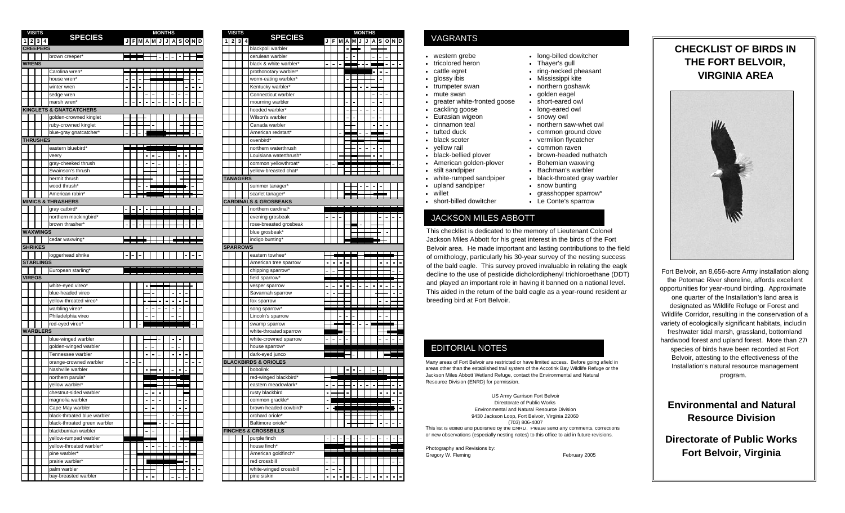| <b>VISITS</b> |                  |                                    |               |  | <b>MONTHS</b> |              |  |      |  |
|---------------|------------------|------------------------------------|---------------|--|---------------|--------------|--|------|--|
| 2             | 3                | <b>SPECIES</b>                     | <b>JFMAMJ</b> |  |               | A<br>$\cdot$ |  | SOND |  |
|               | <b>CREEPERS</b>  |                                    |               |  |               |              |  |      |  |
|               |                  | brown creeper*                     |               |  |               |              |  |      |  |
|               |                  |                                    |               |  |               |              |  |      |  |
| <b>WRENS</b>  |                  |                                    |               |  |               |              |  |      |  |
|               |                  | Carolina wren*                     |               |  |               |              |  |      |  |
|               |                  | house wren'                        |               |  |               |              |  |      |  |
|               |                  | winter wren                        |               |  |               |              |  |      |  |
|               |                  | sedge wren                         |               |  |               |              |  |      |  |
|               |                  | marsh wren*                        |               |  |               |              |  |      |  |
|               |                  | <b>KINGLETS &amp; GNATCATCHERS</b> |               |  |               |              |  |      |  |
|               |                  | golden-crowned kinglet             |               |  |               |              |  |      |  |
|               |                  | ruby-crowned kinglet               |               |  |               |              |  |      |  |
|               |                  | blue-gray gnatcatcher*             |               |  |               |              |  |      |  |
|               | <b>THRUSHES</b>  |                                    |               |  |               |              |  |      |  |
|               |                  | eastern bluebird'                  |               |  |               |              |  |      |  |
|               |                  |                                    |               |  |               |              |  |      |  |
|               |                  | veery                              |               |  |               |              |  |      |  |
|               |                  | gray-cheeked thrush                |               |  |               |              |  |      |  |
|               |                  | Swainson's thrush                  |               |  |               |              |  |      |  |
|               |                  | hermit thrush                      |               |  |               |              |  |      |  |
|               |                  | wood thrush*                       |               |  |               |              |  |      |  |
|               |                  | American robin*                    |               |  |               |              |  |      |  |
|               |                  | <b>MIMICS &amp; THRASHERS</b>      |               |  |               |              |  |      |  |
|               |                  | gray catbird*                      |               |  |               |              |  |      |  |
|               |                  | northern mockingbird*              |               |  |               |              |  |      |  |
|               |                  | brown thrasher*                    |               |  |               |              |  |      |  |
|               | <b>WAXWINGS</b>  |                                    |               |  |               |              |  |      |  |
|               |                  | cedar waxwing*                     |               |  |               |              |  |      |  |
|               | <b>SHRIKES</b>   |                                    |               |  |               |              |  |      |  |
|               |                  | loggerhead shrike                  |               |  |               |              |  |      |  |
|               | <b>STARLINGS</b> |                                    |               |  |               |              |  |      |  |
|               |                  | European starling <sup>®</sup>     |               |  |               |              |  |      |  |
| <b>VIREOS</b> |                  |                                    |               |  |               |              |  |      |  |
|               |                  |                                    |               |  |               |              |  |      |  |
|               |                  | white-eyed vireo*                  |               |  |               |              |  |      |  |
|               |                  | blue-headed vireo                  |               |  |               |              |  |      |  |
|               |                  | vellow-throated vireo'             |               |  |               |              |  |      |  |
|               |                  | warbling vireo*                    |               |  |               |              |  |      |  |
|               |                  | Philadelphia vireo                 |               |  |               |              |  |      |  |
|               |                  | red-eyed vireo*                    |               |  |               |              |  |      |  |
|               | <b>WARBLERS</b>  |                                    |               |  |               |              |  |      |  |
|               |                  | blue-winged warbler                |               |  |               |              |  |      |  |
|               |                  | golden-winged warbler              |               |  |               |              |  |      |  |
|               |                  | Tennessee warbler                  |               |  |               |              |  |      |  |
|               |                  | orange-crowned warbler             |               |  |               |              |  |      |  |
|               |                  | Nashville warbler                  |               |  |               |              |  |      |  |
|               |                  | northern parula*                   |               |  |               |              |  |      |  |
|               |                  | vellow warbler*                    |               |  |               |              |  |      |  |
|               |                  | chestnut-sided warbler             |               |  |               |              |  |      |  |
|               |                  | magnolia warbler                   |               |  |               |              |  |      |  |
|               |                  |                                    |               |  |               |              |  |      |  |
|               |                  | Cape May warbler                   |               |  |               |              |  |      |  |
|               |                  | black-throated blue warbler        |               |  |               |              |  |      |  |
|               |                  | black-throated green warbler       |               |  |               |              |  |      |  |
|               |                  | blackburnian warbler               |               |  |               |              |  |      |  |
|               |                  | yellow-rumped warbler              |               |  |               |              |  |      |  |
|               |                  | yellow-throated warbler*           |               |  |               |              |  |      |  |
|               |                  | pine warbler*                      |               |  |               |              |  |      |  |
|               |                  | prairie warbler*                   |               |  |               |              |  |      |  |
|               |                  | palm warbler                       |               |  |               |              |  |      |  |
|               |                  | bay-breasted warbler               |               |  |               |              |  |      |  |

|               | <b>SPECIES</b>                | <b>MONTHS</b>           |  | <b>VISITS</b>   | <b>SPECIES</b>                   |        |              | MONTHS |  |                                                                                                                                                      |
|---------------|-------------------------------|-------------------------|--|-----------------|----------------------------------|--------|--------------|--------|--|------------------------------------------------------------------------------------------------------------------------------------------------------|
| $\frac{3}{4}$ |                               | J F M A M J J A S O N D |  | $1$   2  3  4   |                                  |        | JFMAMJJASOND |        |  | <b>VAGRANTS</b>                                                                                                                                      |
| <b>PERS</b>   |                               |                         |  |                 | blackpoll warbler                |        |              |        |  |                                                                                                                                                      |
|               | brown creeper'                |                         |  |                 | cerulean warbler                 |        |              |        |  | long-billed dowi<br>western grebe                                                                                                                    |
|               |                               |                         |  |                 | black & white warbler'           |        |              |        |  | tricolored heron<br>Thayer's gull                                                                                                                    |
|               | Carolina wren*                |                         |  |                 | prothonotary warbler*            |        |              |        |  | ring-necked phe<br>cattle egret                                                                                                                      |
|               | house wren*                   |                         |  |                 | worm-eating warbler*             |        |              |        |  | Mississippi kite<br>glossy ibis                                                                                                                      |
|               | winter wren                   |                         |  |                 | Kentucky warbler'                |        |              |        |  | northern goshay<br>trumpeter swan                                                                                                                    |
|               | sedge wren                    |                         |  |                 | Connecticut warbler              |        |              |        |  | golden eagel<br>mute swan                                                                                                                            |
|               | marsh wren'                   |                         |  |                 | mourning warbler                 |        |              |        |  | greater white-fronted goose<br>short-eared owl                                                                                                       |
|               | <b>ETS &amp; GNATCATCHERS</b> |                         |  |                 | hooded warbler*                  |        |              |        |  | cackling goose<br>long-eared owl                                                                                                                     |
|               | golden-crowned kinglet        |                         |  |                 | Wilson's warbler                 |        |              |        |  | Eurasian wigeon<br>snowy owl                                                                                                                         |
|               | ruby-crowned kinglet          |                         |  |                 | Canada warbler                   |        |              |        |  | cinnamon teal<br>northern saw-w                                                                                                                      |
|               | blue-gray gnatcatcher'        |                         |  |                 | American redstart*               |        |              |        |  | tufted duck<br>common ground                                                                                                                         |
| SHES          |                               |                         |  |                 | ovenbird*                        |        |              |        |  | black scoter<br>vermilion flycato                                                                                                                    |
|               | eastern bluebird'             |                         |  |                 | northern waterthrush             |        |              |        |  | vellow rail<br>common raven                                                                                                                          |
|               | veery                         |                         |  |                 | Louisiana waterthrush'           |        |              |        |  | black-bellied plover<br>brown-headed i                                                                                                               |
|               | gray-cheeked thrush           |                         |  |                 | common yellowthroat'             |        |              |        |  | American golden-plover<br>Bohemian waxv                                                                                                              |
|               | Swainson's thrush             |                         |  |                 | yellow-breasted chat*            |        |              |        |  | stilt sandpiper<br>Bachman's war                                                                                                                     |
|               | hermit thrush                 |                         |  | <b>TANAGERS</b> |                                  |        |              |        |  | white-rumped sandpiper<br>black-throated o                                                                                                           |
|               | wood thrush*                  |                         |  |                 | summer tanager                   |        |              |        |  | upland sandpiper<br>snow bunting                                                                                                                     |
|               | American robin'               |                         |  |                 | scarlet tanager <sup>®</sup>     |        |              |        |  | willet<br>grasshopper sp                                                                                                                             |
|               | <b>S &amp; THRASHERS</b>      |                         |  |                 | <b>CARDINALS &amp; GROSBEAKS</b> |        |              |        |  | short-billed dowitcher<br>Le Conte's spar                                                                                                            |
|               | gray catbird*                 |                         |  |                 | northern cardinal*               |        |              |        |  |                                                                                                                                                      |
|               | northern mockingbird'         |                         |  |                 | evening grosbeak                 |        |              |        |  | JACKSON MILES ABBOTT                                                                                                                                 |
|               | brown thrasher*               |                         |  |                 | rose-breasted grosbeak           |        |              |        |  |                                                                                                                                                      |
| <b>INGS</b>   |                               |                         |  |                 | blue grosbeak                    |        |              |        |  | This checklist is dedicated to the memory of Lieutena                                                                                                |
|               | cedar waxwing*                |                         |  |                 | indigo bunting'                  |        |              |        |  | Jackson Miles Abbott for his great interest in the birds                                                                                             |
| ES            |                               |                         |  | <b>SPARROWS</b> |                                  |        |              |        |  | Belvoir area. He made important and lasting contribu                                                                                                 |
|               | loggerhead shrike             |                         |  |                 | eastern towhee*                  |        |              |        |  |                                                                                                                                                      |
| <b>INGS</b>   |                               |                         |  |                 | American tree sparrow            |        |              |        |  | of ornithology, particularly his 30-year survey of the no                                                                                            |
|               | European starling'            |                         |  |                 | chipping sparrow'                |        |              |        |  | of the bald eagle. This survey proved invaluable in re                                                                                               |
|               |                               |                         |  |                 | field sparrow*                   |        |              |        |  | decline to the use of pesticide dicholordiphenyl trichlo                                                                                             |
|               | white-eyed vireo*             |                         |  |                 | vesper sparrow                   |        |              |        |  | and played an important role in having it banned on a                                                                                                |
|               | blue-headed vireo             |                         |  |                 | Savannah sparrow                 |        |              |        |  | This aided in the return of the bald eagle as a year-ro                                                                                              |
|               | yellow-throated vireo'        |                         |  |                 | fox sparrow                      |        |              |        |  | breeding bird at Fort Belvoir.                                                                                                                       |
|               | warbling vireo*               |                         |  |                 | song sparrow*                    |        |              |        |  |                                                                                                                                                      |
|               | Philadelphia vireo            |                         |  |                 | Lincoln's sparrow                |        |              |        |  |                                                                                                                                                      |
|               | red-eyed vireo'               |                         |  |                 | swamp sparrow                    |        |              |        |  |                                                                                                                                                      |
| LERS          |                               |                         |  |                 | white-throated sparrow           |        |              |        |  |                                                                                                                                                      |
|               |                               |                         |  |                 | white-crowned sparrow            |        |              |        |  |                                                                                                                                                      |
|               | blue-winged warbler           |                         |  |                 | house sparrow*                   |        |              |        |  |                                                                                                                                                      |
|               | golden-winged warbler         |                         |  |                 |                                  |        |              |        |  | <b>EDITORIAL NOTES</b>                                                                                                                               |
|               | Tennessee warbler             |                         |  |                 | dark-eyed junco                  |        |              |        |  |                                                                                                                                                      |
|               | orange-crowned warbler        |                         |  |                 | <b>BLACKBIRDS &amp; ORIOLES</b>  |        |              |        |  | Many areas of Fort Belvoir are restricted or have limited access. Befor<br>areas other than the established trail system of the Accotink Bay Wildlit |
|               | Nashville warbler             |                         |  |                 | bobolink                         |        |              |        |  | Jackson Miles Abbott Wetland Refuge, contact the Environmental and                                                                                   |
|               | northern parula <sup>®</sup>  |                         |  |                 | red-winged blackbird'            |        |              |        |  | Resource Division (ENRD) for permission.                                                                                                             |
|               | yellow warbler                |                         |  |                 | eastern meadowlark'              |        |              |        |  |                                                                                                                                                      |
|               | chestnut-sided warbler        |                         |  |                 | rusty blackbird                  |        |              |        |  | US Army Garrison Fort Belvoir                                                                                                                        |
|               | magnolia warbler              |                         |  |                 | common grackle*                  |        |              |        |  | Directorate of Public Works                                                                                                                          |
|               | Cape May warbler              |                         |  |                 | brown-headed cowbird             |        |              |        |  | Environmental and Natural Resource Division                                                                                                          |
|               | black-throated blue warbler   |                         |  |                 | orchard oriole*                  |        |              |        |  | 9430 Jackson Loop, Fort Belvoir, Virginia 22060                                                                                                      |
|               | black-throated green warbler  |                         |  |                 | Baltimore oriole*                |        |              |        |  | (703) 806-4007                                                                                                                                       |
|               | blackburnian warbler          |                         |  |                 | <b>FINCHES &amp; CROSSBILLS</b>  |        |              |        |  | This list is edited and published by the ENRD. Please send any comm<br>or new observations (especially nesting notes) to this office to aid in fut   |
|               | yellow-rumped warbler         |                         |  |                 | purple finch                     |        |              |        |  |                                                                                                                                                      |
|               | yellow-throated warbler*      |                         |  |                 | house finch*                     |        | -----------  |        |  | Photography and Revisions by:                                                                                                                        |
|               | pine warbler*                 | ---------               |  |                 | American goldfinch*              |        |              |        |  | Gregory W. Fleming<br>February                                                                                                                       |
|               | prairie warbler*              |                         |  |                 | red crossbill                    |        |              |        |  |                                                                                                                                                      |
|               | palm warbler                  | ╺┝┽┽┥╿║┾┿┿║┥┥           |  |                 | white-winged crossbill           |        |              |        |  |                                                                                                                                                      |
|               | bay-breasted warbler          |                         |  |                 | pine siskin                      | -1-1-1 |              |        |  |                                                                                                                                                      |
|               |                               |                         |  |                 |                                  |        |              |        |  |                                                                                                                                                      |

#### VAGRANTS

- western grebe long-billed dowitcher
	-
- cattle egret ring-necked pheasant
	-
- trumpeter swan northern goshawk<br>• mute swan golden eagel

• black-throated gray warbler

• Le Conte's sparrow

- greater white-fronted goose short-eared owl
	-
- Eurasian wigeon snowy owl<br>• Cinnamon teal northern sa • northern saw-whet owl
	-
- tufted duck common ground dove
- ovenbird\* black scoter vermilion flycatcher
- black-bellied plover brown-headed nuthatch
- American golden-plover Bohemian waxwing
- stilt sandpiper Bachman's warbler<br>• white-rumped sandpiper black-throated gray
- 
- upland sandpiper snow bunting
- willet villet grasshopper sparrow\*
- short-billed dowitcher

## JACKSON MILES ABBOTT

This checklist is dedicated to the memory of Lieutenant Colonel Jackson Miles Abbott for his great interest in the birds of the Fort Belvoir area. He made important and lasting contributions to the field of ornithology, particularly his 30-year survey of the nesting success of the bald eagle. This survey proved invaluable in relating the eagle decline to the use of pesticide dicholordiphenyl trichloroethane (DDT) and played an important role in having it banned on a national level. This aided in the return of the bald eagle as a year-round resident an breeding bird at Fort Belvoir.

#### EDITORIAL NOTES

Many areas of Fort Belvoir are restricted or have limited access. Before going afield in areas other than the established trail system of the Accotink Bay Wildlife Refuge or the Jackson Miles Abbott Wetland Refuge, contact the Environmental and Natural Resource Division (ENRD) for permission.

This list is edited and published by the ENRD. Please send any comments, corrections or new observations (especially nesting notes) to this office to aid in future revisions. US Army Garrison Fort Belvoir Directorate of Public Works Environmental and Natural Resource Division 9430 Jackson Loop, Fort Belvoir, Virginia 22060 (703) 806-4007

Photography and Revisions by: Gregory W. Fleming **February 2005** 

# **CHECKLIST OF BIRDS IN THE FORT BELVOIR, VIRGINIA AREA**



Fort Belvoir, an 8,656-acre Army installation along the Potomac River shoreline, affords excellent opportunities for year-round birding. Approximate one quarter of the Installation's land area is designated as Wildlife Refuge or Forest and Wildlife Corridor, resulting in the conservation of a variety of ecologically significant habitats, includin freshwater tidal marsh, grassland, bottomland hardwood forest and upland forest. More than 270 species of birds have been recorded at Fort Belvoir, attesting to the effectiveness of the Installation's natural resource management program.

# **Environmental and Natural Resource Division**

**Directorate of Public WorksFort Belvoir, Virginia**